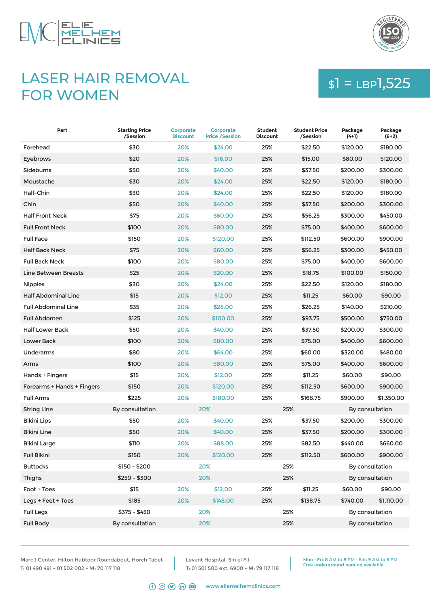



## LASER HAIR REMOVAL FOR WOMEN

# $$1 = LBP1,525$

| Part                       | <b>Starting Price</b><br>/Session | <b>Corporate</b><br><b>Discount</b> | <b>Corporate</b><br><b>Price / Session</b> | <b>Student</b><br><b>Discount</b> | <b>Student Price</b><br>/Session | Package<br>$(4+1)$ | Package<br>$(6+2)$ |
|----------------------------|-----------------------------------|-------------------------------------|--------------------------------------------|-----------------------------------|----------------------------------|--------------------|--------------------|
| Forehead                   | \$30                              | 20%                                 | \$24.00                                    | 25%                               | \$22.50                          | \$120.00           | \$180.00           |
| Eyebrows                   | \$20                              | 20%                                 | \$16.00                                    | 25%                               | \$15.00                          | \$80.00            | \$120.00           |
| Sideburns                  | \$50                              | 20%                                 | \$40.00                                    | 25%                               | \$37.50                          | \$200.00           | \$300.00           |
| Moustache                  | \$30                              | 20%                                 | \$24.00                                    | 25%                               | \$22.50                          | \$120.00           | \$180.00           |
| Half-Chin                  | \$30                              | 20%                                 | \$24.00                                    | 25%                               | \$22.50                          | \$120.00           | \$180.00           |
| Chin                       | \$50                              | 20%                                 | \$40.00                                    | 25%                               | \$37.50                          | \$200.00           | \$300.00           |
| <b>Half Front Neck</b>     | \$75                              | 20%                                 | \$60,00                                    | 25%                               | \$56.25                          | \$300.00           | \$450.00           |
| <b>Full Front Neck</b>     | \$100                             | 20%                                 | \$80.00                                    | 25%                               | \$75.00                          | \$400.00           | \$600.00           |
| <b>Full Face</b>           | \$150                             | 20%                                 | \$120.00                                   | 25%                               | \$112.50                         | \$600.00           | \$900.00           |
| <b>Half Back Neck</b>      | \$75                              | 20%                                 | \$60.00                                    | 25%                               | \$56.25                          | \$300.00           | \$450.00           |
| <b>Full Back Neck</b>      | \$100                             | 20%                                 | \$80.00                                    | 25%                               | \$75.00                          | \$400.00           | \$600.00           |
| Line Between Breasts       | \$25                              | 20%                                 | \$20.00                                    | 25%                               | \$18.75                          | \$100.00           | \$150.00           |
| <b>Nipples</b>             | \$30                              | 20%                                 | \$24.00                                    | 25%                               | \$22.50                          | \$120.00           | \$180.00           |
| <b>Half Abdominal Line</b> | \$15                              | 20%                                 | \$12.00                                    | 25%                               | \$11.25                          | \$60.00            | \$90.00            |
| <b>Full Abdominal Line</b> | \$35                              | 20%                                 | \$28.00                                    | 25%                               | \$26.25                          | \$140.00           | \$210.00           |
| <b>Full Abdomen</b>        | \$125                             | 20%                                 | \$100.00                                   | 25%                               | \$93.75                          | \$500.00           | \$750.00           |
| <b>Half Lower Back</b>     | \$50                              | 20%                                 | \$40.00                                    | 25%                               | \$37.50                          | \$200.00           | \$300.00           |
| Lower Back                 | \$100                             | 20%                                 | \$80.00                                    | 25%                               | \$75.00                          | \$400.00           | \$600.00           |
| Underarms                  | \$80                              | 20%                                 | \$64.00                                    | 25%                               | \$60.00                          | \$320.00           | \$480.00           |
| Arms                       | \$100                             | 20%                                 | \$80.00                                    | 25%                               | \$75.00                          | \$400.00           | \$600.00           |
| Hands + Fingers            | \$15                              | 20%                                 | \$12.00                                    | 25%                               | \$11.25                          | \$60.00            | \$90.00            |
| Forearms + Hands + Fingers | \$150                             | 20%                                 | \$120.00                                   | 25%                               | \$112.50                         | \$600.00           | \$900.00           |
| <b>Full Arms</b>           | \$225                             | 20%                                 | \$180.00                                   | 25%                               | \$168.75                         | \$900.00           | \$1,350.00         |
| <b>String Line</b>         | By consultation                   |                                     | 20%                                        |                                   | 25%                              | By consultation    |                    |
| Bikini Lips                | \$50                              | 20%                                 | \$40.00                                    | 25%                               | \$37.50                          | \$200.00           | \$300.00           |
| <b>Bikini Line</b>         | \$50                              | 20%                                 | \$40.00                                    | 25%                               | \$37.50                          | \$200.00           | \$300.00           |
| Bikini Large               | \$110                             | 20%                                 | \$88.00                                    | 25%                               | \$82.50                          | \$440.00           | \$660.00           |
| <b>Full Bikini</b>         | \$150                             | 20%                                 | \$120.00                                   | 25%                               | \$112.50                         | \$600.00           | \$900.00           |
| <b>Buttocks</b>            | \$150 - \$200                     |                                     | 20%                                        |                                   | 25%                              | By consultation    |                    |
| Thighs                     | $$250 - $300$                     |                                     | 20%                                        |                                   | 25%                              | By consultation    |                    |
| Foot + Toes                | \$15                              | 20%                                 | \$12.00                                    | 25%                               | \$11.25                          | \$60.00            | \$90.00            |
| Legs + Feet + Toes         | \$185                             | 20%                                 | \$148.00                                   | 25%                               | \$138.75                         | \$740.00           | \$1,110.00         |
| <b>Full Legs</b>           | \$375 - \$450                     |                                     | 20%                                        |                                   | 25%                              | By consultation    |                    |
| <b>Full Body</b>           | By consultation                   |                                     | 20%                                        |                                   | 25%                              | By consultation    |                    |

Marc 1 Center, Hilton Habtoor Roundabout, Horch Tabet T: 01 490 491 - 01 502 002 - M: 70 117 118

Levant Hospital, Sin el Fil T: 01 501 500 ext. 6900 - M: 79 117 118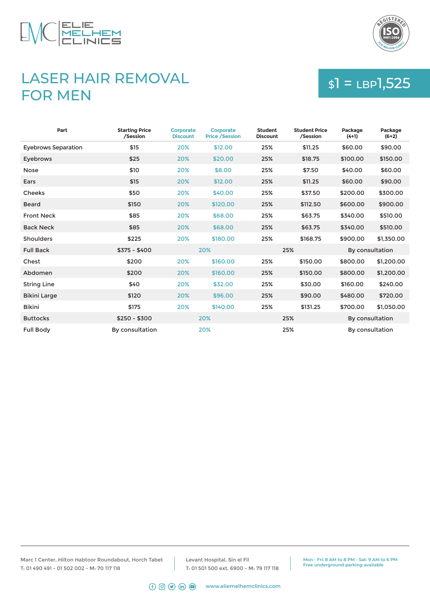



## LASER HAIR REMOVAL FOR MEN

# $$1 = LBP1,525$

| Part                       | <b>Starting Price</b><br>/Session | <b>Corporate</b><br><b>Discount</b> | <b>Corporate</b><br><b>Price /Session</b> | <b>Student</b><br><b>Discount</b> | <b>Student Price</b><br>/Session | Package<br>$(4+1)$ | Package<br>$(6+2)$ |
|----------------------------|-----------------------------------|-------------------------------------|-------------------------------------------|-----------------------------------|----------------------------------|--------------------|--------------------|
| <b>Eyebrows Separation</b> | \$15                              | 20%                                 | \$12.00                                   | 25%                               | \$11.25                          | \$60.00            | \$90.00            |
| Eyebrows                   | \$25                              | 20%                                 | \$20.00                                   | 25%                               | \$18.75                          | \$100.00           | \$150.00           |
| <b>Nose</b>                | \$10                              | 20%                                 | \$8.00                                    | 25%                               | \$7.50                           | \$40.00            | \$60.00            |
| Ears                       | \$15                              | 20%                                 | \$12.00                                   | 25%                               | \$11.25                          | \$60.00            | \$90.00            |
| <b>Cheeks</b>              | \$50                              | 20%                                 | \$40.00                                   | 25%                               | \$37.50                          | \$200.00           | \$300.00           |
| <b>Beard</b>               | \$150                             | 20%                                 | \$120.00                                  | 25%                               | \$112.50                         | \$600.00           | \$900.00           |
| <b>Front Neck</b>          | \$85                              | 20%                                 | \$68,00                                   | 25%                               | \$63.75                          | \$340.00           | \$510.00           |
| <b>Back Neck</b>           | \$85                              | 20%                                 | \$68.00                                   | 25%                               | \$63.75                          | \$340.00           | \$510.00           |
| <b>Shoulders</b>           | \$225                             | 20%                                 | \$180.00                                  | 25%                               | \$168.75                         | \$900.00           | \$1.350.00         |
| <b>Full Back</b>           | $$375 - $400$                     |                                     | 20%                                       |                                   | 25%                              | By consultation    |                    |
| Chest                      | \$200                             | 20%                                 | \$160.00                                  | 25%                               | \$150.00                         | \$800.00           | \$1,200.00         |
| Abdomen                    | \$200                             | 20%                                 | \$160.00                                  | 25%                               | \$150.00                         | \$800.00           | \$1,200.00         |
| <b>String Line</b>         | \$40                              | 20%                                 | \$32.00                                   | 25%                               | \$30.00                          | \$160.00           | \$240.00           |
| <b>Bikini Large</b>        | \$120                             | 20%                                 | \$96.00                                   | 25%                               | \$90.00                          | \$480.00           | \$720.00           |
| <b>Bikini</b>              | \$175                             | 20%                                 | \$140.00                                  | 25%                               | \$131.25                         | \$700.00           | \$1,050.00         |
| <b>Buttocks</b>            | $$250 - $300$                     |                                     | 20%                                       |                                   | 25%                              | By consultation    |                    |
| <b>Full Body</b>           | By consultation                   |                                     | 20%                                       |                                   | 25%                              | By consultation    |                    |

Marc 1 Center, Hilton Habtoor Roundabout, Horch Tabet T: 01 490 491 - 01 502 002 - M: 70 117 118

Levant Hospital, Sin el Fil T: 01 501 500 ext. 6900 - M: 79 117 118

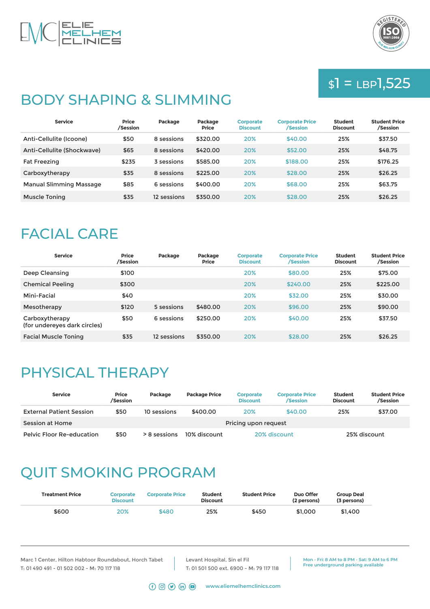



## $$1 = LBP1,525$

## BODY SHAPING & SLIMMING

| <b>Service</b>                 | <b>Price</b><br>/Session | Package     | Package<br><b>Price</b> | <b>Corporate</b><br><b>Discount</b> | <b>Corporate Price</b><br>/Session | <b>Student</b><br><b>Discount</b> | <b>Student Price</b><br>/Session |
|--------------------------------|--------------------------|-------------|-------------------------|-------------------------------------|------------------------------------|-----------------------------------|----------------------------------|
| Anti-Cellulite (Icoone)        | \$50                     | 8 sessions  | \$320.00                | 20%                                 | \$40.00                            | 25%                               | \$37.50                          |
| Anti-Cellulite (Shockwave)     | \$65                     | 8 sessions  | \$420.00                | 20%                                 | \$52.00                            | 25%                               | \$48.75                          |
| <b>Fat Freezing</b>            | \$235                    | 3 sessions  | \$585.00                | 20%                                 | \$188,00                           | 25%                               | \$176.25                         |
| Carboxytherapy                 | \$35                     | 8 sessions  | \$225.00                | 20%                                 | \$28.00                            | 25%                               | \$26.25                          |
| <b>Manual Slimming Massage</b> | \$85                     | 6 sessions  | \$400.00                | 20%                                 | \$68,00                            | 25%                               | \$63.75                          |
| <b>Muscle Toning</b>           | \$35                     | 12 sessions | \$350.00                | 20%                                 | \$28.00                            | 25%                               | \$26.25                          |

#### FACIAL CARE

| <b>Service</b>                                 | <b>Price</b><br>/Session | Package     | Package<br><b>Price</b> | <b>Corporate</b><br><b>Discount</b> | <b>Corporate Price</b><br>/Session | <b>Student</b><br><b>Discount</b> | <b>Student Price</b><br>/Session |
|------------------------------------------------|--------------------------|-------------|-------------------------|-------------------------------------|------------------------------------|-----------------------------------|----------------------------------|
| Deep Cleansing                                 | \$100                    |             |                         | 20%                                 | \$80.00                            | 25%                               | \$75.00                          |
| <b>Chemical Peeling</b>                        | \$300                    |             |                         | 20%                                 | \$240.00                           | 25%                               | \$225.00                         |
| Mini-Facial                                    | \$40                     |             |                         | 20%                                 | \$32.00                            | 25%                               | \$30.00                          |
| Mesotherapy                                    | \$120                    | 5 sessions  | \$480.00                | 20%                                 | \$96.00                            | 25%                               | \$90.00                          |
| Carboxytherapy<br>(for undereyes dark circles) | \$50                     | 6 sessions  | \$250.00                | 20%                                 | \$40.00                            | 25%                               | \$37.50                          |
| <b>Facial Muscle Toning</b>                    | \$35                     | 12 sessions | \$350.00                | 20%                                 | \$28.00                            | 25%                               | \$26.25                          |

# PHYSICAL THERAPY

| <b>Service</b>                  | <b>Price</b><br>/Session | Package        | <b>Package Price</b> | <b>Corporate</b><br><b>Discount</b> | <b>Corporate Price</b><br>/Session | <b>Student</b><br><b>Discount</b> | <b>Student Price</b><br>/Session |  |
|---------------------------------|--------------------------|----------------|----------------------|-------------------------------------|------------------------------------|-----------------------------------|----------------------------------|--|
| <b>External Patient Session</b> | \$50                     | 10 sessions    | \$400.00             | <b>20%</b>                          | \$40.00                            | 25%                               | \$37.00                          |  |
| Session at Home                 |                          |                | Pricing upon request |                                     |                                    |                                   |                                  |  |
| Pelvic Floor Re-education       | \$50                     | $> 8$ sessions | 10% discount         |                                     | 20% discount                       |                                   | 25% discount                     |  |

# QUIT SMOKING PROGRAM

| <b>Treatment Price</b> | <b>Corporate</b><br><b>Discount</b> | <b>Corporate Price</b> | <b>Student</b><br><b>Discount</b> | <b>Student Price</b> | Duo Offer<br>(2 persons) | <b>Group Deal</b><br>(3 persons) |
|------------------------|-------------------------------------|------------------------|-----------------------------------|----------------------|--------------------------|----------------------------------|
| \$600                  | 20%                                 | \$480                  | 25%                               | \$450                | \$1,000                  | \$1.400                          |

Marc 1 Center, Hilton Habtoor Roundabout, Horch Tabet T: 01 490 491 - 01 502 002 - M: 70 117 118

Levant Hospital, Sin el Fil T: 01 501 500 ext. 6900 - M: 79 117 118